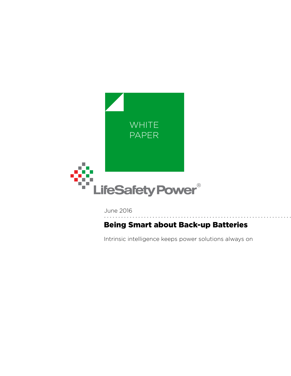

June 2016

# Being Smart about Back-up Batteries

Intrinsic intelligence keeps power solutions always on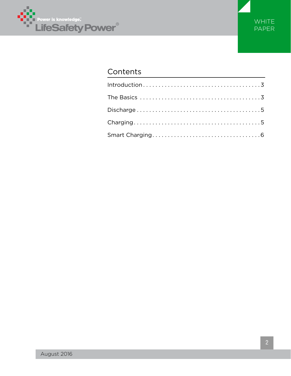



## Contents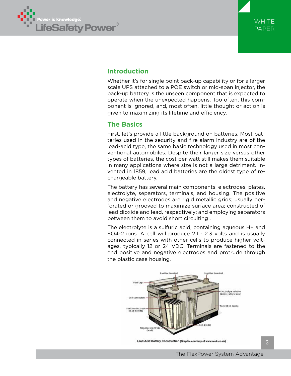



## **Introduction**

Whether it's for single point back-up capability or for a larger scale UPS attached to a POE switch or mid-span injector, the back-up battery is the unseen component that is expected to operate when the unexpected happens. Too often, this component is ignored, and, most often, little thought or action is given to maximizing its lifetime and efficiency.

### **The Basics**

First, let's provide a little background on batteries. Most batteries used in the security and fire alarm industry are of the lead-acid type, the same basic technology used in most conventional automobiles. Despite their larger size versus other types of batteries, the cost per watt still makes them suitable in many applications where size is not a large detriment. Invented in 1859, lead acid batteries are the oldest type of rechargeable battery.

The battery has several main components: electrodes, plates, electrolyte, separators, terminals, and housing. The positive and negative electrodes are rigid metallic grids; usually perforated or grooved to maximize surface area; constructed of lead dioxide and lead, respectively; and employing separators between them to avoid short circuiting .

The electrolyte is a sulfuric acid, containing aqueous H+ and SO4-2 ions. A cell will produce 2.1 - 2.3 volts and is usually connected in series with other cells to produce higher voltages, typically 12 or 24 VDC. Terminals are fastened to the end positive and negative electrodes and protrude through the plastic case housing.



Lead Acid Battery Construction (Graphic courtesy of www.reuk.co.uk)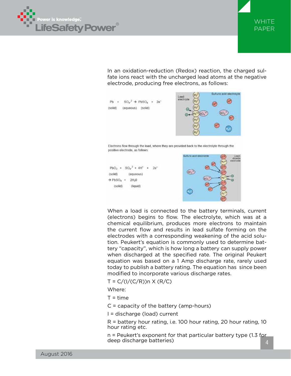



In an oxidation-reduction (Redox) reaction, the charged sulfate ions react with the uncharged lead atoms at the negative electrode, producing free electrons, as follows:







When a load is connected to the battery terminals, current (electrons) begins to flow. The electrolyte, which was at a chemical equilibrium, produces more electrons to maintain the current flow and results in lead sulfate forming on the electrodes with a corresponding weakening of the acid solution. Peukert's equation is commonly used to determine battery "capacity", which is how long a battery can supply power when discharged at the specified rate. The original Peukert equation was based on a 1 Amp discharge rate, rarely used today to publish a battery rating. The equation has since been modified to incorporate various discharge rates.

$$
T = C/(1/(C/R))n \times (R/C)
$$

Where:

 $T = time$ 

- C = capacity of the battery (amp-hours)
- I = discharge (load) current

R = battery hour rating, i.e. 100 hour rating, 20 hour rating, 10 hour rating etc.

n = Peukert's exponent for that particular battery type (1.3 for deep discharge batteries)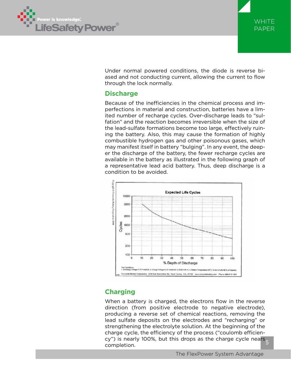



Under normal powered conditions, the diode is reverse biased and not conducting current, allowing the current to flow through the lock normally.

## **Discharge**

Because of the inefficiencies in the chemical process and imperfections in material and construction, batteries have a limited number of recharge cycles. Over-discharge leads to "sulfation" and the reaction becomes irreversible when the size of the lead-sulfate formations become too large, effectively ruining the battery. Also, this may cause the formation of highly combustible hydrogen gas and other poisonous gases, which may manifest itself in battery "bulging". In any event, the deeper the discharge of the battery, the fewer recharge cycles are available in the battery as illustrated in the following graph of a representative lead acid battery. Thus, deep discharge is a condition to be avoided.



## **Charging**

cy") is nearly 100%, but this drops as the charge cycle nea<mark>rs <sub>5</sub></mark> When a battery is charged, the electrons flow in the reverse direction (from positive electrode to negative electrode), producing a reverse set of chemical reactions, removing the lead sulfate deposits on the electrodes and "recharging" or strengthening the electrolyte solution. At the beginning of the charge cycle, the efficiency of the process ("coulomb efficiencompletion.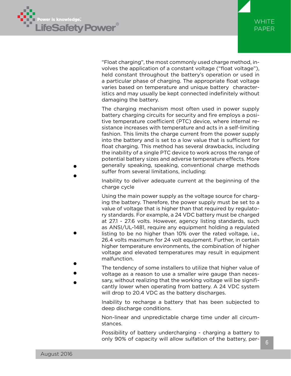

•

•

•



"Float charging", the most commonly used charge method, involves the application of a constant voltage ("float voltage"), held constant throughout the battery's operation or used in a particular phase of charging. The appropriate float voltage varies based on temperature and unique battery characteristics and may usually be kept connected indefinitely without damaging the battery.

The charging mechanism most often used in power supply battery charging circuits for security and fire employs a positive temperature coefficient (PTC) device, where internal resistance increases with temperature and acts in a self-limiting fashion. This limits the charge current from the power supply into the battery and is set to a low value that is sufficient for float charging. This method has several drawbacks, including the inability of a single PTC device to work across the range of potential battery sizes and adverse temperature effects. More generally speaking, speaking, conventional charge methods suffer from several limitations, including:

Inability to deliver adequate current at the beginning of the charge cycle

Using the main power supply as the voltage source for charging the battery. Therefore, the power supply must be set to a value of voltage that is higher than that required by regulatory standards. For example, a 24 VDC battery must be charged at 27.1 - 27.6 volts. However, agency listing standards, such as ANSI/UL-1481, require any equipment holding a regulated listing to be no higher than 10% over the rated voltage, i.e., 26.4 volts maximum for 24 volt equipment. Further, in certain higher temperature environments, the combination of higher voltage and elevated temperatures may result in equipment malfunction.

- The tendency of some installers to utilize that higher value of •
- voltage as a reason to use a smaller wire gauge than neces-•
	- sary, without realizing that the working voltage will be significantly lower when operating from battery. A 24 VDC system will drop to 20.4 VDC as the battery discharges. •

Inability to recharge a battery that has been subjected to deep discharge conditions.

Non-linear and unpredictable charge time under all circumstances.

Possibility of battery undercharging - charging a battery to only 90% of capacity will allow sulfation of the battery, per-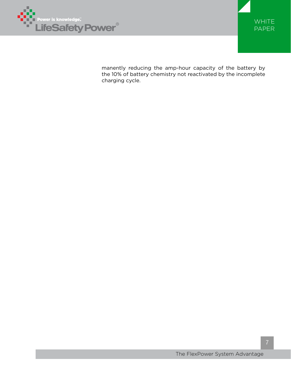



manently reducing the amp-hour capacity of the battery by the 10% of battery chemistry not reactivated by the incomplete charging cycle.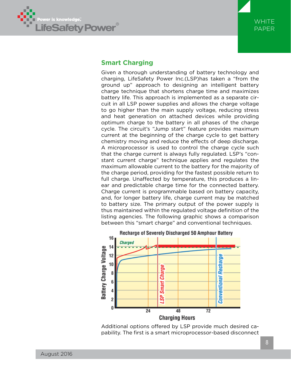



### **Smart Charging**

Given a thorough understanding of battery technology and charging, LifeSafety Power Inc.(LSP)has taken a "from the ground up" approach to designing an intelligent battery charge technique that shortens charge time and maximizes battery life. This approach is implemented as a separate circuit in all LSP power supplies and allows the charge voltage to go higher than the main supply voltage, reducing stress and heat generation on attached devices while providing optimum charge to the battery in all phases of the charge cycle. The circuit's "Jump start" feature provides maximum current at the beginning of the charge cycle to get battery chemistry moving and reduce the effects of deep discharge. A microprocessor is used to control the charge cycle such that the charge current is always fully regulated. LSP's "constant current charge" technique applies and regulates the maximum allowable current to the battery for the majority of the charge period, providing for the fastest possible return to full charge. Unaffected by temperature, this produces a linear and predictable charge time for the connected battery. Charge current is programmable based on battery capacity, and, for longer battery life, charge current may be matched to battery size. The primary output of the power supply is thus maintained within the regulated voltage definition of the listing agencies. The following graphic shows a comparison between this "smart charge" and conventional techniques.



Additional options offered by LSP provide much desired capability. The first is a smart microprocessor-based disconnect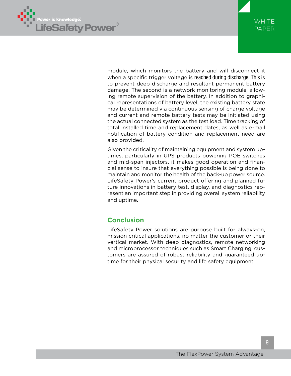



module, which monitors the battery and will disconnect it when a specific trigger voltage is reached during discharge. This is to prevent deep discharge and resultant permanent battery damage. The second is a network monitoring module, allowing remote supervision of the battery. In addition to graphical representations of battery level, the existing battery state may be determined via continuous sensing of charge voltage and current and remote battery tests may be initiated using the actual connected system as the test load. Time tracking of total installed time and replacement dates, as well as e-mail notification of battery condition and replacement need are also provided.

Given the criticality of maintaining equipment and system uptimes, particularly in UPS products powering POE switches and mid-span injectors, it makes good operation and financial sense to insure that everything possible is being done to maintain and monitor the health of the back-up power source. LifeSafety Power's current product offering and planned future innovations in battery test, display, and diagnostics represent an important step in providing overall system reliability and uptime.

## **Conclusion**

LifeSafety Power solutions are purpose built for always-on, mission critical applications, no matter the customer or their vertical market. With deep diagnostics, remote networking and microprocessor techniques such as Smart Charging, customers are assured of robust reliability and guaranteed uptime for their physical security and life safety equipment.